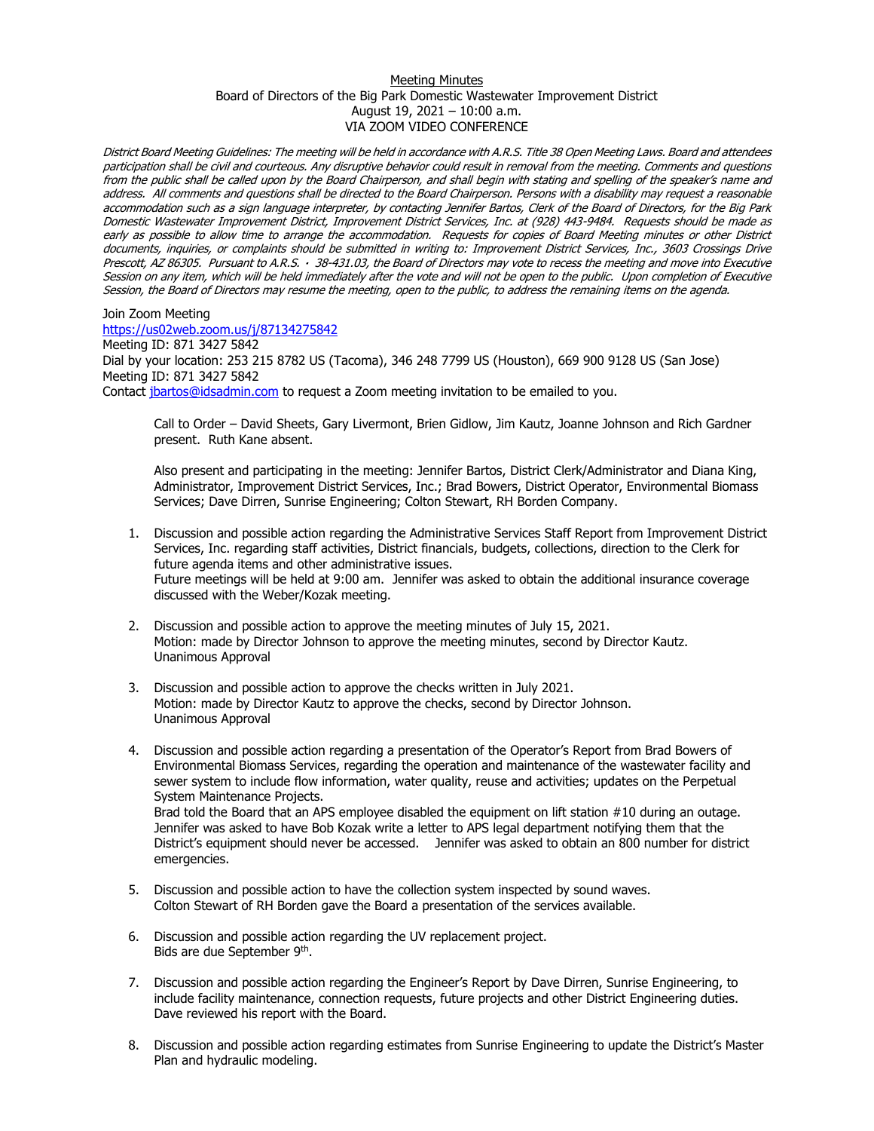## Meeting Minutes Board of Directors of the Big Park Domestic Wastewater Improvement District August 19, 2021 – 10:00 a.m. VIA ZOOM VIDEO CONFERENCE

District Board Meeting Guidelines: The meeting will be held in accordance with A.R.S. Title 38 Open Meeting Laws. Board and attendees participation shall be civil and courteous. Any disruptive behavior could result in removal from the meeting. Comments and questions from the public shall be called upon by the Board Chairperson, and shall begin with stating and spelling of the speaker's name and address. All comments and questions shall be directed to the Board Chairperson. Persons with a disability may request a reasonable accommodation such as a sign language interpreter, by contacting Jennifer Bartos, Clerk of the Board of Directors, for the Big Park Domestic Wastewater Improvement District, Improvement District Services, Inc. at (928) 443-9484. Requests should be made as early as possible to allow time to arrange the accommodation. Requests for copies of Board Meeting minutes or other District documents, inquiries, or complaints should be submitted in writing to: Improvement District Services, Inc., 3603 Crossings Drive Prescott, AZ 86305. Pursuant to A.R.S. · 38-431.03, the Board of Directors may vote to recess the meeting and move into Executive Session on any item, which will be held immediately after the vote and will not be open to the public. Upon completion of Executive Session, the Board of Directors may resume the meeting, open to the public, to address the remaining items on the agenda.

Join Zoom Meeting <https://us02web.zoom.us/j/87134275842> Meeting ID: 871 3427 5842 Dial by your location: 253 215 8782 US (Tacoma), 346 248 7799 US (Houston), 669 900 9128 US (San Jose) Meeting ID: 871 3427 5842 Contact [jbartos@idsadmin.com](mailto:jbartos@idsadmin.com) to request a Zoom meeting invitation to be emailed to you.

Call to Order – David Sheets, Gary Livermont, Brien Gidlow, Jim Kautz, Joanne Johnson and Rich Gardner present. Ruth Kane absent.

Also present and participating in the meeting: Jennifer Bartos, District Clerk/Administrator and Diana King, Administrator, Improvement District Services, Inc.; Brad Bowers, District Operator, Environmental Biomass Services; Dave Dirren, Sunrise Engineering; Colton Stewart, RH Borden Company.

- 1. Discussion and possible action regarding the Administrative Services Staff Report from Improvement District Services, Inc. regarding staff activities, District financials, budgets, collections, direction to the Clerk for future agenda items and other administrative issues. Future meetings will be held at 9:00 am. Jennifer was asked to obtain the additional insurance coverage discussed with the Weber/Kozak meeting.
- 2. Discussion and possible action to approve the meeting minutes of July 15, 2021. Motion: made by Director Johnson to approve the meeting minutes, second by Director Kautz. Unanimous Approval
- 3. Discussion and possible action to approve the checks written in July 2021. Motion: made by Director Kautz to approve the checks, second by Director Johnson. Unanimous Approval
- 4. Discussion and possible action regarding a presentation of the Operator's Report from Brad Bowers of Environmental Biomass Services, regarding the operation and maintenance of the wastewater facility and sewer system to include flow information, water quality, reuse and activities; updates on the Perpetual System Maintenance Projects. Brad told the Board that an APS employee disabled the equipment on lift station #10 during an outage. Jennifer was asked to have Bob Kozak write a letter to APS legal department notifying them that the District's equipment should never be accessed. Jennifer was asked to obtain an 800 number for district emergencies.
- 5. Discussion and possible action to have the collection system inspected by sound waves. Colton Stewart of RH Borden gave the Board a presentation of the services available.
- 6. Discussion and possible action regarding the UV replacement project. Bids are due September 9<sup>th</sup>.
- 7. Discussion and possible action regarding the Engineer's Report by Dave Dirren, Sunrise Engineering, to include facility maintenance, connection requests, future projects and other District Engineering duties. Dave reviewed his report with the Board.
- 8. Discussion and possible action regarding estimates from Sunrise Engineering to update the District's Master Plan and hydraulic modeling.